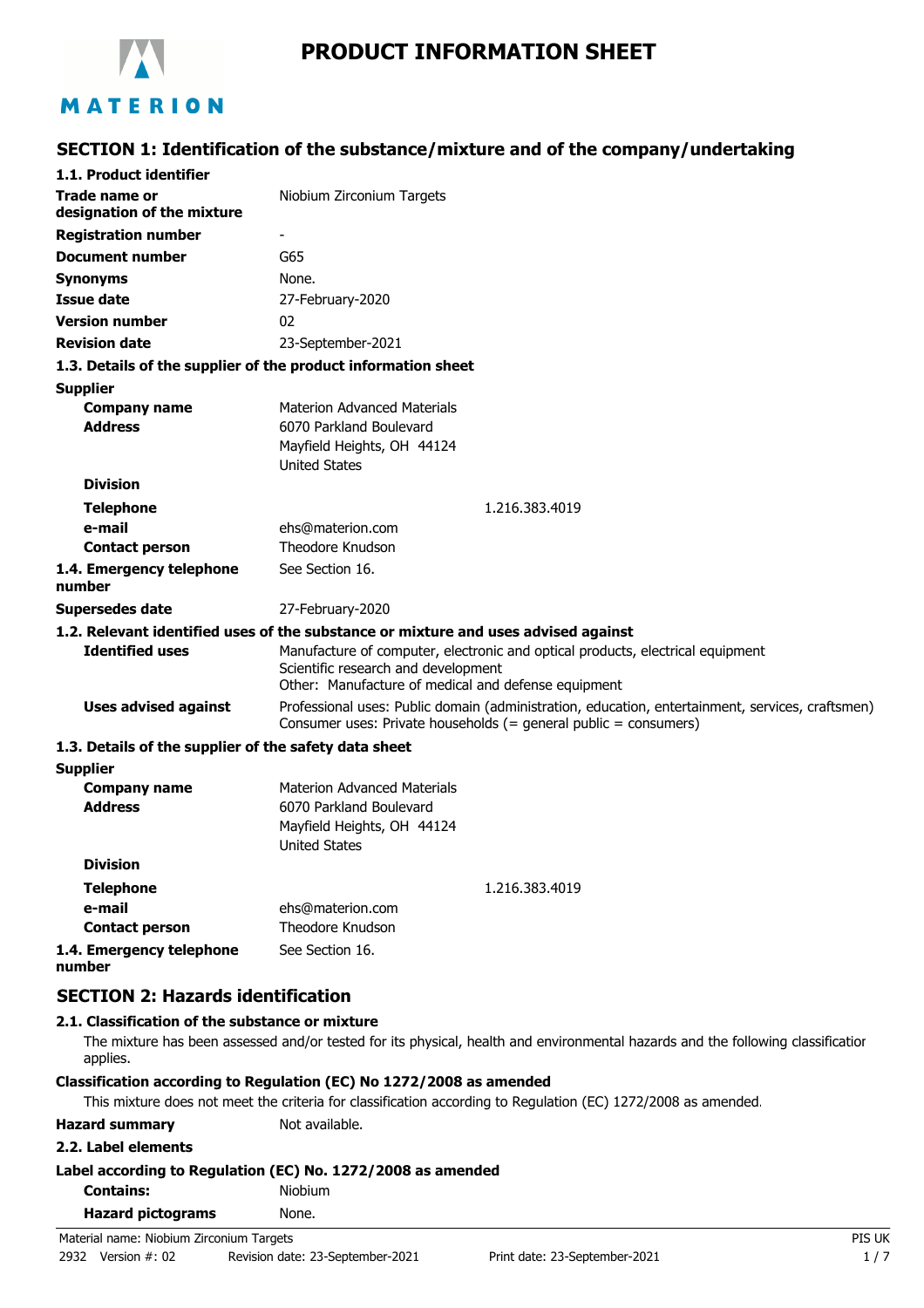

# **PRODUCT INFORMATION SHEET**

# **SECTION 1: Identification of the substance/mixture and of the company/undertaking**

| 1.1. Product identifier                               |                                                                                                                                                                              |  |
|-------------------------------------------------------|------------------------------------------------------------------------------------------------------------------------------------------------------------------------------|--|
| Trade name or<br>designation of the mixture           | Niobium Zirconium Targets                                                                                                                                                    |  |
| <b>Registration number</b>                            |                                                                                                                                                                              |  |
| <b>Document number</b>                                | G65                                                                                                                                                                          |  |
| <b>Synonyms</b>                                       | None.                                                                                                                                                                        |  |
| <b>Issue date</b>                                     | 27-February-2020                                                                                                                                                             |  |
| <b>Version number</b>                                 | 02                                                                                                                                                                           |  |
| <b>Revision date</b>                                  | 23-September-2021                                                                                                                                                            |  |
|                                                       | 1.3. Details of the supplier of the product information sheet                                                                                                                |  |
| <b>Supplier</b>                                       |                                                                                                                                                                              |  |
| <b>Company name</b>                                   | <b>Materion Advanced Materials</b>                                                                                                                                           |  |
| <b>Address</b>                                        | 6070 Parkland Boulevard                                                                                                                                                      |  |
|                                                       | Mayfield Heights, OH 44124                                                                                                                                                   |  |
| <b>Division</b>                                       | <b>United States</b>                                                                                                                                                         |  |
|                                                       | 1.216.383.4019                                                                                                                                                               |  |
| <b>Telephone</b><br>e-mail                            | ehs@materion.com                                                                                                                                                             |  |
| <b>Contact person</b>                                 | Theodore Knudson                                                                                                                                                             |  |
| 1.4. Emergency telephone<br>number                    | See Section 16.                                                                                                                                                              |  |
| <b>Supersedes date</b>                                | 27-February-2020                                                                                                                                                             |  |
|                                                       | 1.2. Relevant identified uses of the substance or mixture and uses advised against                                                                                           |  |
| <b>Identified uses</b>                                | Manufacture of computer, electronic and optical products, electrical equipment<br>Scientific research and development<br>Other: Manufacture of medical and defense equipment |  |
| <b>Uses advised against</b>                           | Professional uses: Public domain (administration, education, entertainment, services, craftsmen)<br>Consumer uses: Private households (= general public = consumers)         |  |
| 1.3. Details of the supplier of the safety data sheet |                                                                                                                                                                              |  |
| <b>Supplier</b>                                       |                                                                                                                                                                              |  |
| <b>Company name</b>                                   | <b>Materion Advanced Materials</b>                                                                                                                                           |  |
| <b>Address</b>                                        | 6070 Parkland Boulevard                                                                                                                                                      |  |
|                                                       | Mayfield Heights, OH 44124                                                                                                                                                   |  |
| <b>Division</b>                                       | <b>United States</b>                                                                                                                                                         |  |
|                                                       |                                                                                                                                                                              |  |
| <b>Telephone</b>                                      | 1.216.383.4019                                                                                                                                                               |  |
| e-mail<br><b>Contact person</b>                       | ehs@materion.com<br>Theodore Knudson                                                                                                                                         |  |
| 1.4. Emergency telephone<br>number                    | See Section 16.                                                                                                                                                              |  |
|                                                       |                                                                                                                                                                              |  |
| <b>SECTION 2: Hazards identification</b>              |                                                                                                                                                                              |  |
| 2.1. Classification of the substance or mixture       |                                                                                                                                                                              |  |

#### The mixture has been assessed and/or tested for its physical, health and environmental hazards and the following classification applies.

#### **Classification according to Regulation (EC) No 1272/2008 as amended**

This mixture does not meet the criteria for classification according to Regulation (EC) 1272/2008 as amended.

| <b>Hazard summary</b> |  |
|-----------------------|--|
|-----------------------|--|

**Not available.** 

#### **2.2. Label elements**

| Label according to Regulation (EC) No. 1272/2008 as amended |  |
|-------------------------------------------------------------|--|
|-------------------------------------------------------------|--|

| <b>Contains:</b> |  | Niobium |
|------------------|--|---------|
|                  |  |         |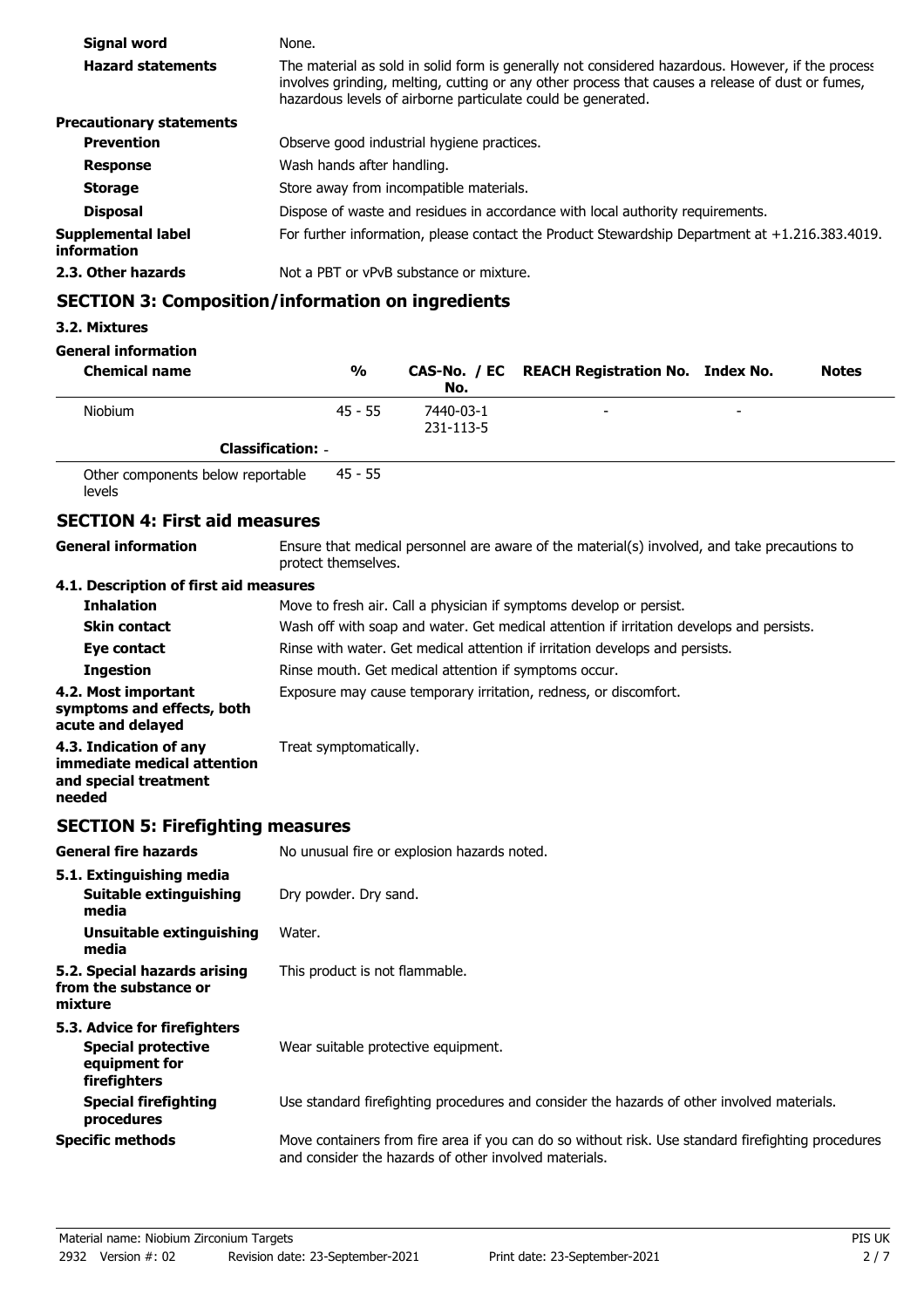| Signal word                       | None.                                                                                                                                                                                                                                                                 |
|-----------------------------------|-----------------------------------------------------------------------------------------------------------------------------------------------------------------------------------------------------------------------------------------------------------------------|
| <b>Hazard statements</b>          | The material as sold in solid form is generally not considered hazardous. However, if the process<br>involves grinding, melting, cutting or any other process that causes a release of dust or fumes,<br>hazardous levels of airborne particulate could be generated. |
| <b>Precautionary statements</b>   |                                                                                                                                                                                                                                                                       |
| <b>Prevention</b>                 | Observe good industrial hygiene practices.                                                                                                                                                                                                                            |
| <b>Response</b>                   | Wash hands after handling.                                                                                                                                                                                                                                            |
| <b>Storage</b>                    | Store away from incompatible materials.                                                                                                                                                                                                                               |
| <b>Disposal</b>                   | Dispose of waste and residues in accordance with local authority requirements.                                                                                                                                                                                        |
| Supplemental label<br>information | For further information, please contact the Product Stewardship Department at $+1.216.383.4019$ .                                                                                                                                                                     |
| 2.3. Other hazards                | Not a PBT or vPvB substance or mixture.                                                                                                                                                                                                                               |

# **SECTION 3: Composition/information on ingredients**

#### **3.2. Mixtures**

**General information**

| <b>Chemical name</b> | $\frac{0}{0}$            | No.                    | CAS-No. / EC REACH Registration No. Index No. |   | <b>Notes</b> |
|----------------------|--------------------------|------------------------|-----------------------------------------------|---|--------------|
| <b>Niobium</b>       | $45 - 55$                | 7440-03-1<br>231-113-5 | -                                             | - |              |
|                      | <b>Classification: -</b> |                        |                                               |   |              |

Other components below reportable levels 45 - 55

# **SECTION 4: First aid measures**

**General information**

Ensure that medical personnel are aware of the material(s) involved, and take precautions to protect themselves.

### **4.1. Description of first aid measures**

| <b>Inhalation</b>                                                                        | Move to fresh air. Call a physician if symptoms develop or persist.                      |
|------------------------------------------------------------------------------------------|------------------------------------------------------------------------------------------|
| <b>Skin contact</b>                                                                      | Wash off with soap and water. Get medical attention if irritation develops and persists. |
| Eye contact                                                                              | Rinse with water. Get medical attention if irritation develops and persists.             |
| <b>Ingestion</b>                                                                         | Rinse mouth. Get medical attention if symptoms occur.                                    |
| 4.2. Most important<br>symptoms and effects, both<br>acute and delayed                   | Exposure may cause temporary irritation, redness, or discomfort.                         |
| 4.3. Indication of any<br>immediate medical attention<br>and special treatment<br>needed | Treat symptomatically.                                                                   |

# **SECTION 5: Firefighting measures**

| <b>General fire hazards</b>                                                                | No unusual fire or explosion hazards noted.                                                                                                                 |
|--------------------------------------------------------------------------------------------|-------------------------------------------------------------------------------------------------------------------------------------------------------------|
| 5.1. Extinguishing media<br>Suitable extinguishing<br>media                                | Dry powder. Dry sand.                                                                                                                                       |
| Unsuitable extinguishing<br>media                                                          | Water.                                                                                                                                                      |
| 5.2. Special hazards arising<br>from the substance or<br>mixture                           | This product is not flammable.                                                                                                                              |
| 5.3. Advice for firefighters<br><b>Special protective</b><br>equipment for<br>firefighters | Wear suitable protective equipment.                                                                                                                         |
| <b>Special firefighting</b><br>procedures                                                  | Use standard firefighting procedures and consider the hazards of other involved materials.                                                                  |
| <b>Specific methods</b>                                                                    | Move containers from fire area if you can do so without risk. Use standard firefighting procedures<br>and consider the hazards of other involved materials. |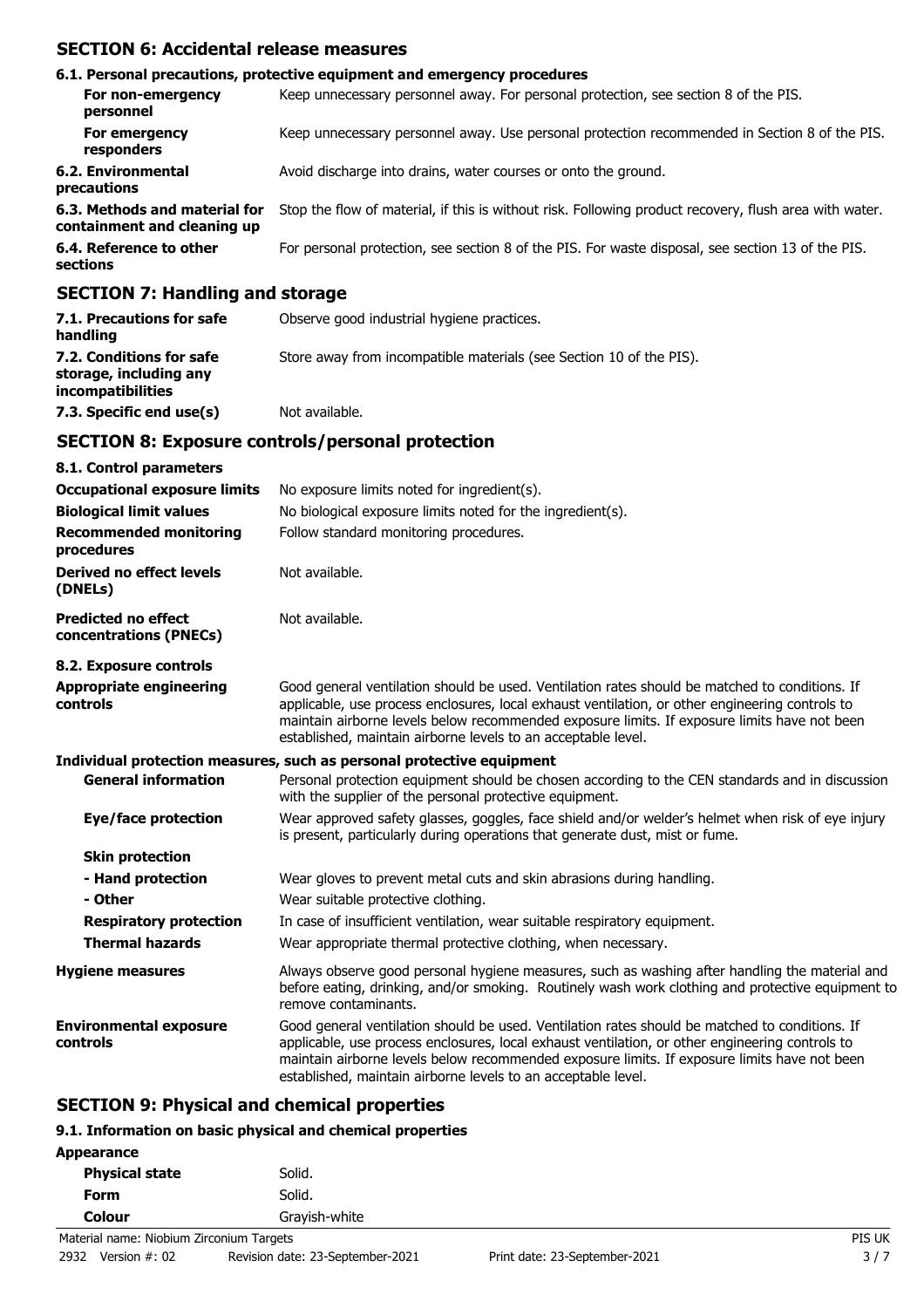# **SECTION 6: Accidental release measures**

|                                                              | 6.1. Personal precautions, protective equipment and emergency procedures                               |
|--------------------------------------------------------------|--------------------------------------------------------------------------------------------------------|
| For non-emergency<br>personnel                               | Keep unnecessary personnel away. For personal protection, see section 8 of the PIS.                    |
| For emergency<br>responders                                  | Keep unnecessary personnel away. Use personal protection recommended in Section 8 of the PIS.          |
| 6.2. Environmental<br>precautions                            | Avoid discharge into drains, water courses or onto the ground.                                         |
| 6.3. Methods and material for<br>containment and cleaning up | Stop the flow of material, if this is without risk. Following product recovery, flush area with water. |
| 6.4. Reference to other<br>sections                          | For personal protection, see section 8 of the PIS. For waste disposal, see section 13 of the PIS.      |
| $CPCTTON$ $7.$ Hemaling and stanses                          |                                                                                                        |

### **SECTION 7: Handling and storage**

| 7.1. Precautions for safe<br>handling                                          | Observe good industrial hygiene practices.                          |
|--------------------------------------------------------------------------------|---------------------------------------------------------------------|
| 7.2. Conditions for safe<br>storage, including any<br><i>incompatibilities</i> | Store away from incompatible materials (see Section 10 of the PIS). |
| 7.3. Specific end use(s)                                                       | Not available.                                                      |

### **SECTION 8: Exposure controls/personal protection**

| 8.1. Control parameters                              |                                                                                                                                                                                                                                                                                                                                                                    |
|------------------------------------------------------|--------------------------------------------------------------------------------------------------------------------------------------------------------------------------------------------------------------------------------------------------------------------------------------------------------------------------------------------------------------------|
| <b>Occupational exposure limits</b>                  | No exposure limits noted for ingredient(s).                                                                                                                                                                                                                                                                                                                        |
| <b>Biological limit values</b>                       | No biological exposure limits noted for the ingredient(s).                                                                                                                                                                                                                                                                                                         |
| <b>Recommended monitoring</b><br>procedures          | Follow standard monitoring procedures.                                                                                                                                                                                                                                                                                                                             |
| <b>Derived no effect levels</b><br>(DNELs)           | Not available.                                                                                                                                                                                                                                                                                                                                                     |
| <b>Predicted no effect</b><br>concentrations (PNECs) | Not available.                                                                                                                                                                                                                                                                                                                                                     |
| 8.2. Exposure controls                               |                                                                                                                                                                                                                                                                                                                                                                    |
| <b>Appropriate engineering</b><br>controls           | Good general ventilation should be used. Ventilation rates should be matched to conditions. If<br>applicable, use process enclosures, local exhaust ventilation, or other engineering controls to<br>maintain airborne levels below recommended exposure limits. If exposure limits have not been<br>established, maintain airborne levels to an acceptable level. |
|                                                      | Individual protection measures, such as personal protective equipment                                                                                                                                                                                                                                                                                              |
| <b>General information</b>                           | Personal protection equipment should be chosen according to the CEN standards and in discussion<br>with the supplier of the personal protective equipment.                                                                                                                                                                                                         |
| Eye/face protection                                  | Wear approved safety glasses, goggles, face shield and/or welder's helmet when risk of eye injury<br>is present, particularly during operations that generate dust, mist or fume.                                                                                                                                                                                  |
| <b>Skin protection</b>                               |                                                                                                                                                                                                                                                                                                                                                                    |
| - Hand protection                                    | Wear gloves to prevent metal cuts and skin abrasions during handling.                                                                                                                                                                                                                                                                                              |
| - Other                                              | Wear suitable protective clothing.                                                                                                                                                                                                                                                                                                                                 |
| <b>Respiratory protection</b>                        | In case of insufficient ventilation, wear suitable respiratory equipment.                                                                                                                                                                                                                                                                                          |
| <b>Thermal hazards</b>                               | Wear appropriate thermal protective clothing, when necessary.                                                                                                                                                                                                                                                                                                      |
| <b>Hygiene measures</b>                              | Always observe good personal hygiene measures, such as washing after handling the material and<br>before eating, drinking, and/or smoking. Routinely wash work clothing and protective equipment to<br>remove contaminants.                                                                                                                                        |
| <b>Environmental exposure</b><br>controls            | Good general ventilation should be used. Ventilation rates should be matched to conditions. If<br>applicable, use process enclosures, local exhaust ventilation, or other engineering controls to<br>maintain airborne levels below recommended exposure limits. If exposure limits have not been<br>established, maintain airborne levels to an acceptable level. |

### **SECTION 9: Physical and chemical properties**

### **9.1. Information on basic physical and chemical properties**

| Appearance            |               |
|-----------------------|---------------|
| <b>Physical state</b> | Solid.        |
| Form                  | Solid.        |
| Colour                | Grayish-white |
|                       |               |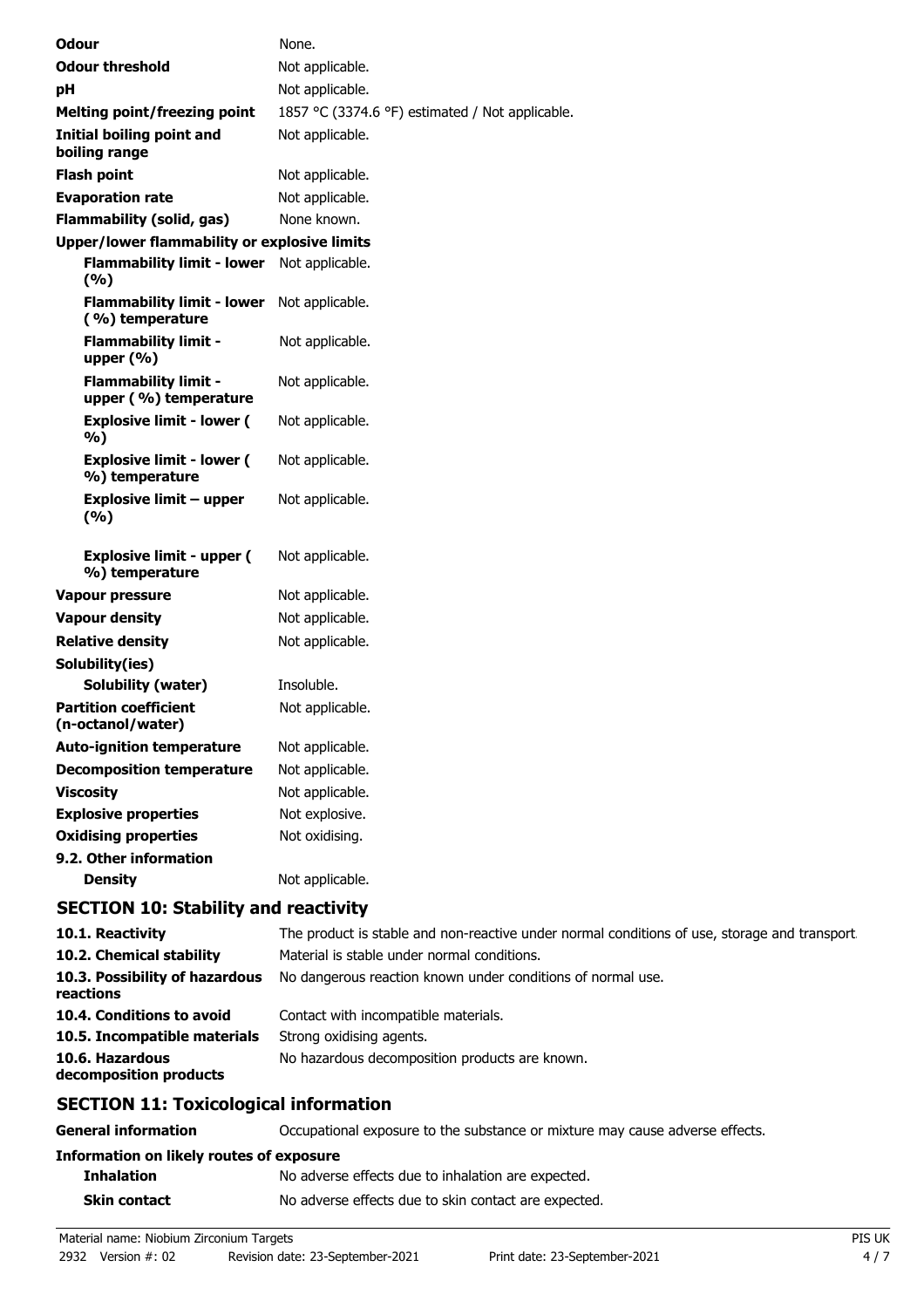| <b>Odour</b>                                         | None.                                                     |
|------------------------------------------------------|-----------------------------------------------------------|
| <b>Odour threshold</b>                               | Not applicable.                                           |
| pH                                                   | Not applicable.                                           |
| <b>Melting point/freezing point</b>                  | 1857 °C (3374.6 °F) estimated / Not applicable.           |
| Initial boiling point and<br>boiling range           | Not applicable.                                           |
| <b>Flash point</b>                                   | Not applicable.                                           |
| <b>Evaporation rate</b>                              | Not applicable.                                           |
| <b>Flammability (solid, gas)</b>                     | None known.                                               |
| Upper/lower flammability or explosive limits         |                                                           |
| <b>Flammability limit - lower</b><br>(%)             | Not applicable.                                           |
| <b>Flammability limit - lower</b><br>(%) temperature | Not applicable.                                           |
| <b>Flammability limit -</b><br>upper (%)             | Not applicable.                                           |
| <b>Flammability limit -</b><br>upper (%) temperature | Not applicable.                                           |
| <b>Explosive limit - lower (</b><br>%)               | Not applicable.                                           |
| <b>Explosive limit - lower (</b><br>%) temperature   | Not applicable.                                           |
| <b>Explosive limit - upper</b><br>(%)                | Not applicable.                                           |
| <b>Explosive limit - upper (</b><br>%) temperature   | Not applicable.                                           |
| <b>Vapour pressure</b>                               | Not applicable.                                           |
| <b>Vapour density</b>                                | Not applicable.                                           |
| <b>Relative density</b>                              | Not applicable.                                           |
| Solubility(ies)                                      |                                                           |
| Solubility (water)                                   | Insoluble.                                                |
| <b>Partition coefficient</b><br>(n-octanol/water)    | Not applicable.                                           |
| <b>Auto-ignition temperature</b>                     | Not applicable.                                           |
| <b>Decomposition temperature</b>                     | Not applicable.                                           |
| <b>Viscosity</b>                                     | Not applicable.                                           |
| <b>Explosive properties</b>                          | Not explosive.                                            |
| <b>Oxidising properties</b>                          | Not oxidising.                                            |
| 9.2. Other information                               |                                                           |
| <b>Density</b>                                       | Not applicable.                                           |
| <b>SECTION 10: Stability and reactivity</b>          |                                                           |
| 10.1. Reactivity                                     | The product is stable and non-reactive under normal condi |

| CECTION 44. Taxicalceleal information       |                                                                                               |
|---------------------------------------------|-----------------------------------------------------------------------------------------------|
| 10.6. Hazardous<br>decomposition products   | No hazardous decomposition products are known.                                                |
| 10.5. Incompatible materials                | Strong oxidising agents.                                                                      |
| 10.4. Conditions to avoid                   | Contact with incompatible materials.                                                          |
| 10.3. Possibility of hazardous<br>reactions | No dangerous reaction known under conditions of normal use.                                   |
| 10.2. Chemical stability                    | Material is stable under normal conditions.                                                   |
| 10.1. Reactivity                            | The product is stable and non-reactive under normal conditions of use, storage and transport. |

## **SECTION 11: Toxicological information**

| <b>General information</b>               | Occupational exposure to the substance or mixture may cause adverse effects. |
|------------------------------------------|------------------------------------------------------------------------------|
| Information on likely routes of exposure |                                                                              |
| <b>Inhalation</b>                        | No adverse effects due to inhalation are expected.                           |
| <b>Skin contact</b>                      | No adverse effects due to skin contact are expected.                         |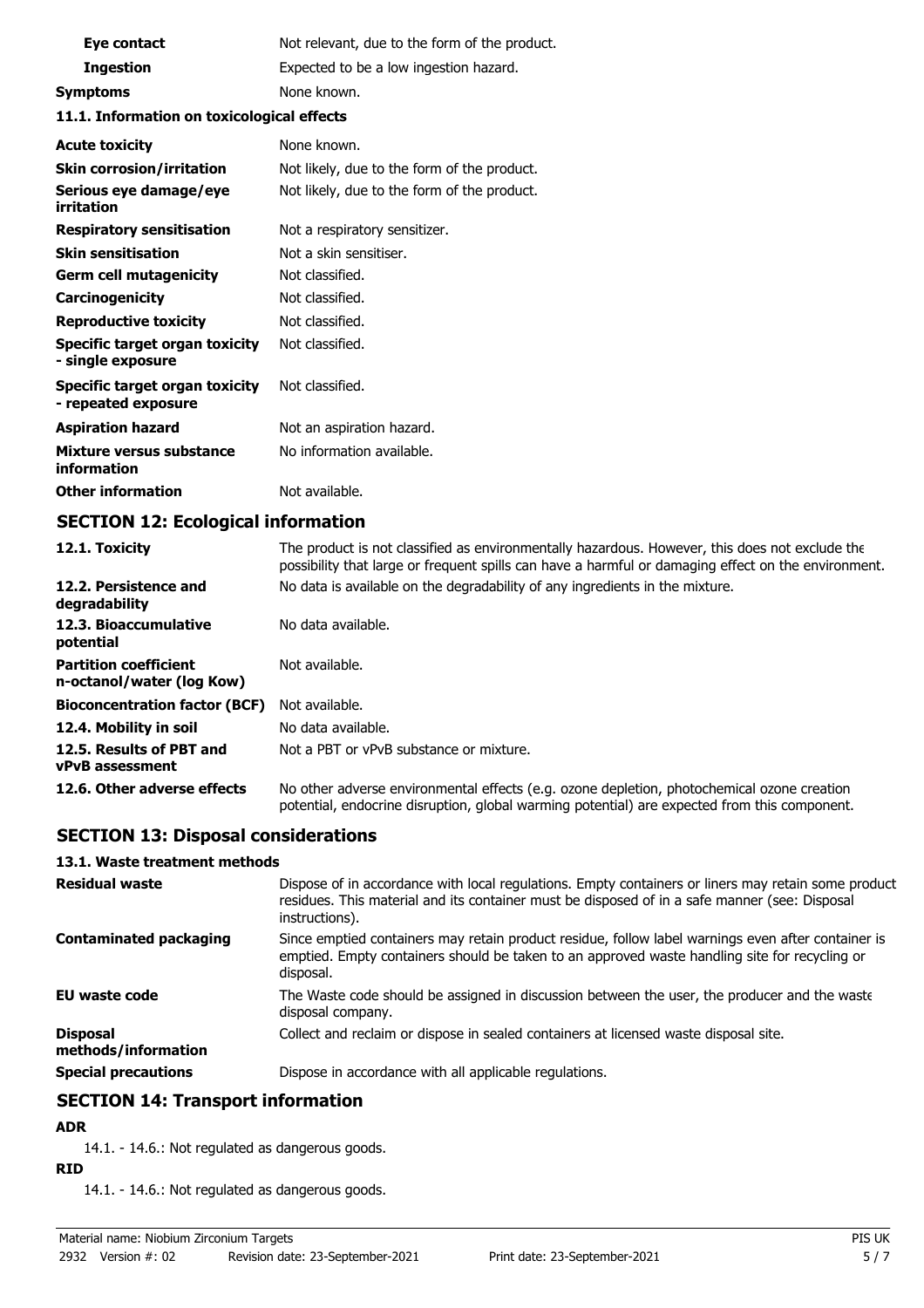| Eye contact                                                | Not relevant, due to the form of the product. |
|------------------------------------------------------------|-----------------------------------------------|
| <b>Ingestion</b>                                           | Expected to be a low ingestion hazard.        |
| <b>Symptoms</b>                                            | None known.                                   |
| 11.1. Information on toxicological effects                 |                                               |
| <b>Acute toxicity</b>                                      | None known.                                   |
| <b>Skin corrosion/irritation</b>                           | Not likely, due to the form of the product.   |
| Serious eye damage/eye<br>irritation                       | Not likely, due to the form of the product.   |
| <b>Respiratory sensitisation</b>                           | Not a respiratory sensitizer.                 |
| <b>Skin sensitisation</b>                                  | Not a skin sensitiser.                        |
| <b>Germ cell mutagenicity</b>                              | Not classified.                               |
| Carcinogenicity                                            | Not classified.                               |
| <b>Reproductive toxicity</b>                               | Not classified.                               |
| <b>Specific target organ toxicity</b><br>- single exposure | Not classified.                               |
| Specific target organ toxicity<br>- repeated exposure      | Not classified.                               |
| <b>Aspiration hazard</b>                                   | Not an aspiration hazard.                     |
| Mixture versus substance<br>information                    | No information available.                     |
| <b>Other information</b>                                   | Not available.                                |

# **SECTION 12: Ecological information**

| 12.1. Toxicity                                            | The product is not classified as environmentally hazardous. However, this does not exclude the<br>possibility that large or frequent spills can have a harmful or damaging effect on the environment. |
|-----------------------------------------------------------|-------------------------------------------------------------------------------------------------------------------------------------------------------------------------------------------------------|
| 12.2. Persistence and<br>degradability                    | No data is available on the degradability of any ingredients in the mixture.                                                                                                                          |
| 12.3. Bioaccumulative<br>potential                        | No data available.                                                                                                                                                                                    |
| <b>Partition coefficient</b><br>n-octanol/water (log Kow) | Not available.                                                                                                                                                                                        |
| <b>Bioconcentration factor (BCF)</b>                      | Not available.                                                                                                                                                                                        |
| 12.4. Mobility in soil                                    | No data available.                                                                                                                                                                                    |
| 12.5. Results of PBT and<br>vPvB assessment               | Not a PBT or vPvB substance or mixture.                                                                                                                                                               |
| 12.6. Other adverse effects                               | No other adverse environmental effects (e.g. ozone depletion, photochemical ozone creation<br>potential, endocrine disruption, global warming potential) are expected from this component.            |

# **SECTION 13: Disposal considerations**

#### **13.1. Waste treatment methods**

| <b>Residual waste</b>                  | Dispose of in accordance with local regulations. Empty containers or liners may retain some product<br>residues. This material and its container must be disposed of in a safe manner (see: Disposal<br>instructions). |
|----------------------------------------|------------------------------------------------------------------------------------------------------------------------------------------------------------------------------------------------------------------------|
| <b>Contaminated packaging</b>          | Since emptied containers may retain product residue, follow label warnings even after container is<br>emptied. Empty containers should be taken to an approved waste handling site for recycling or<br>disposal.       |
| <b>EU waste code</b>                   | The Waste code should be assigned in discussion between the user, the producer and the waste<br>disposal company.                                                                                                      |
| <b>Disposal</b><br>methods/information | Collect and reclaim or dispose in sealed containers at licensed waste disposal site.                                                                                                                                   |
| <b>Special precautions</b>             | Dispose in accordance with all applicable regulations.                                                                                                                                                                 |

# **SECTION 14: Transport information**

### **ADR**

14.1. - 14.6.: Not regulated as dangerous goods.

### **RID**

14.1. - 14.6.: Not regulated as dangerous goods.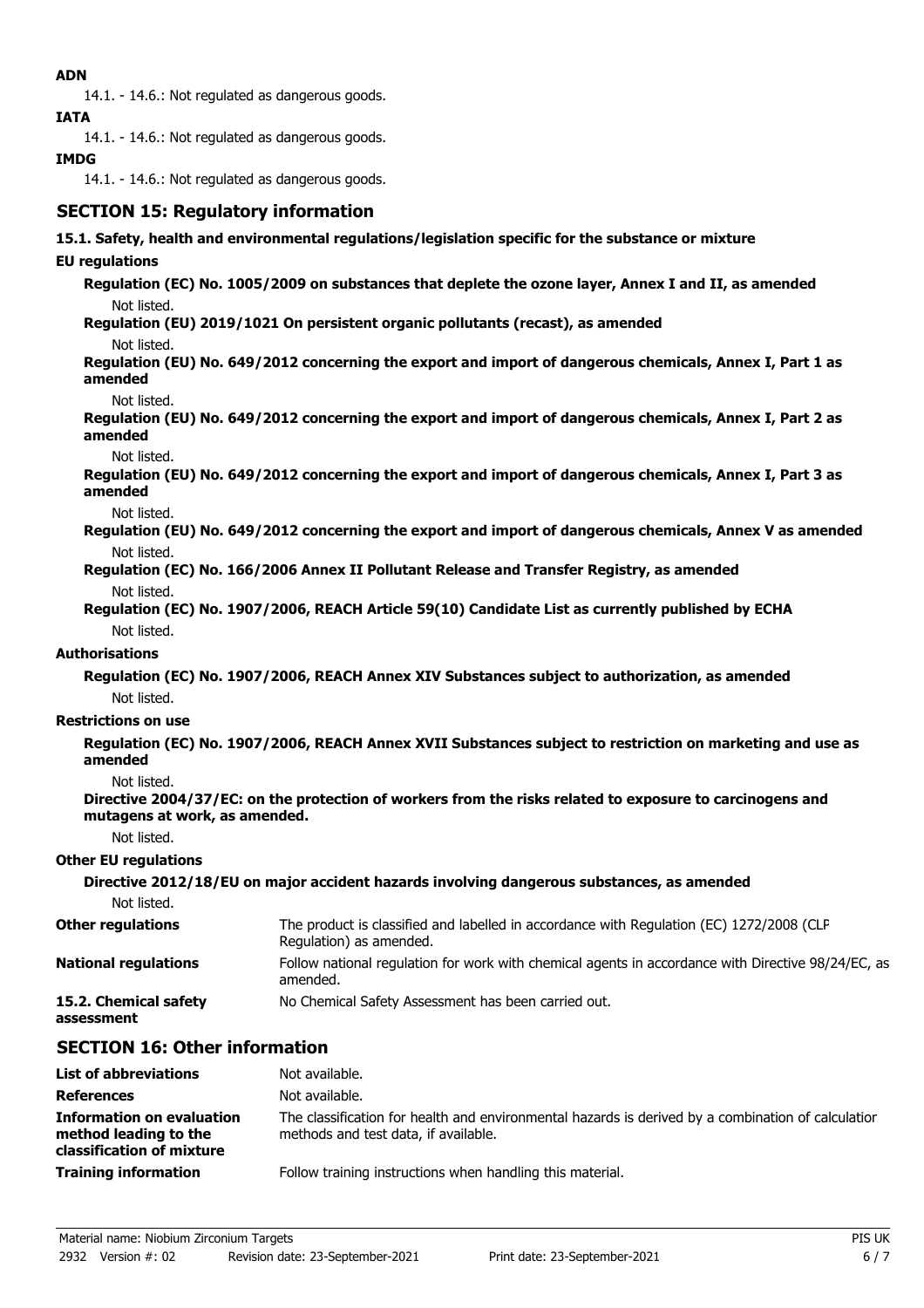### **ADN**

14.1. - 14.6.: Not regulated as dangerous goods.

**IATA**

14.1. - 14.6.: Not regulated as dangerous goods.

### **IMDG**

14.1. - 14.6.: Not regulated as dangerous goods.

# **SECTION 15: Regulatory information**

#### **15.1. Safety, health and environmental regulations/legislation specific for the substance or mixture**

#### **EU regulations**

**Regulation (EC) No. 1005/2009 on substances that deplete the ozone layer, Annex I and II, as amended** Not listed.

**Regulation (EU) 2019/1021 On persistent organic pollutants (recast), as amended**

Not listed.

**Regulation (EU) No. 649/2012 concerning the export and import of dangerous chemicals, Annex I, Part 1 as amended**

Not listed.

**Regulation (EU) No. 649/2012 concerning the export and import of dangerous chemicals, Annex I, Part 2 as amended**

Not listed.

**Regulation (EU) No. 649/2012 concerning the export and import of dangerous chemicals, Annex I, Part 3 as amended**

Not listed.

**Regulation (EU) No. 649/2012 concerning the export and import of dangerous chemicals, Annex V as amended** Not listed.

**Regulation (EC) No. 166/2006 Annex II Pollutant Release and Transfer Registry, as amended** Not listed.

**Regulation (EC) No. 1907/2006, REACH Article 59(10) Candidate List as currently published by ECHA** Not listed.

#### **Authorisations**

**Regulation (EC) No. 1907/2006, REACH Annex XIV Substances subject to authorization, as amended** Not listed.

#### **Restrictions on use**

**Regulation (EC) No. 1907/2006, REACH Annex XVII Substances subject to restriction on marketing and use as amended**

Not listed.

**Directive 2004/37/EC: on the protection of workers from the risks related to exposure to carcinogens and mutagens at work, as amended.**

Not listed.

#### **Other EU regulations**

|                                     | Directive 2012/18/EU on major accident hazards involving dangerous substances, as amended                           |
|-------------------------------------|---------------------------------------------------------------------------------------------------------------------|
| Not listed.                         |                                                                                                                     |
| <b>Other regulations</b>            | The product is classified and labelled in accordance with Regulation (EC) 1272/2008 (CLP<br>Regulation) as amended. |
| <b>National regulations</b>         | Follow national regulation for work with chemical agents in accordance with Directive 98/24/EC, as<br>amended.      |
| 15.2. Chemical safety<br>assessment | No Chemical Safety Assessment has been carried out.                                                                 |

## **SECTION 16: Other information**

| <b>List of abbreviations</b>                                                           | Not available.                                                                                                                             |
|----------------------------------------------------------------------------------------|--------------------------------------------------------------------------------------------------------------------------------------------|
| <b>References</b>                                                                      | Not available.                                                                                                                             |
| <b>Information on evaluation</b><br>method leading to the<br>classification of mixture | The classification for health and environmental hazards is derived by a combination of calculation<br>methods and test data, if available. |
| <b>Training information</b>                                                            | Follow training instructions when handling this material.                                                                                  |